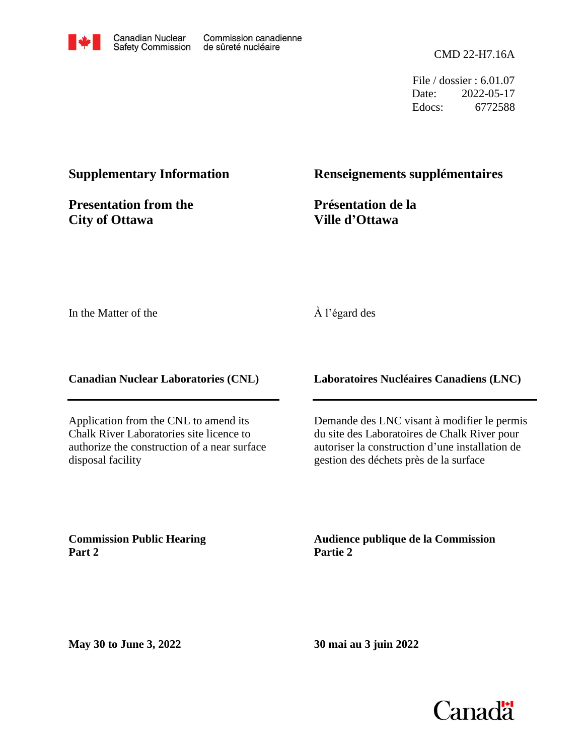

File / dossier : 6.01.07 Date: 2022-05-17 Edocs: 6772588

#### **Supplementary Information**

**Presentation from the City of Ottawa**

#### **Renseignements supplémentaires**

**Présentation de la Ville d'Ottawa**

In the Matter of the

#### À l'égard des

**Canadian Nuclear Laboratories (CNL)**

Application from the CNL to amend its Chalk River Laboratories site licence to authorize the construction of a near surface disposal facility

**Laboratoires Nucléaires Canadiens (LNC)**

Demande des LNC visant à modifier le permis du site des Laboratoires de Chalk River pour autoriser la construction d'une installation de gestion des déchets près de la surface

**Commission Public Hearing Part 2**

**Audience publique de la Commission Partie 2**

**May 30 to June 3, 2022**

**30 mai au 3 juin 2022**

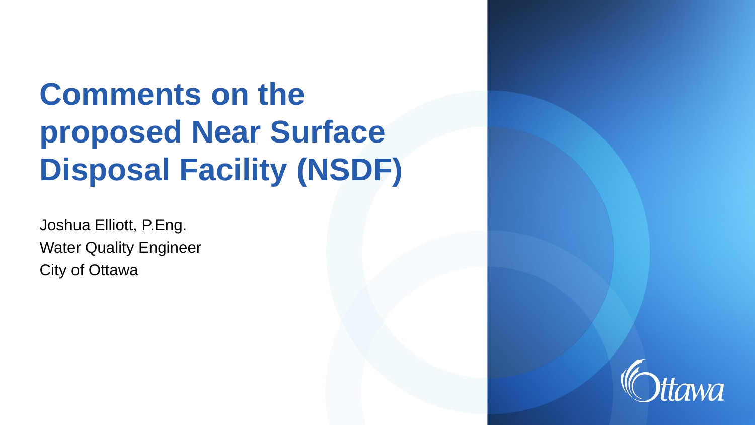# **Comments on the proposed Near Surface Disposal Facility (NSDF)**

Joshua Elliott, P.Eng. Water Quality Engineer City of Ottawa

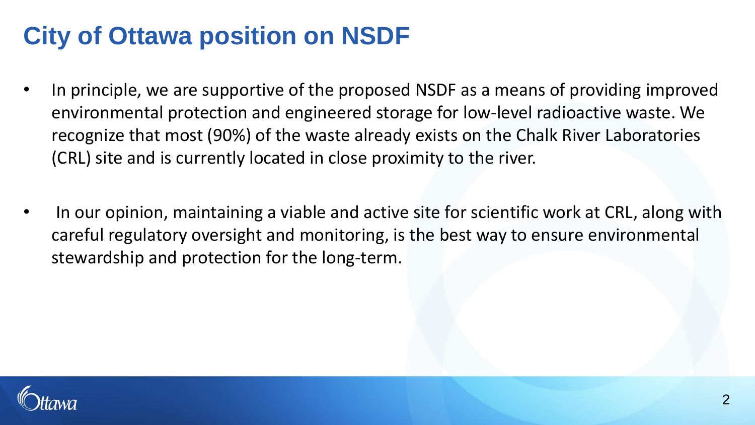# **City of Ottawa position on NSDF**

- In principle, we are supportive of the proposed NSDF as a means of providing improved environmental protection and engineered storage for low-level radioactive waste. We recognize that most (90%) of the waste already exists on the Chalk River Laboratories (CRL) site and is currently located in close proximity to the river.
- In our opinion, maintaining a viable and active site for scientific work at CRL, along with careful regulatory oversight and monitoring, is the best way to ensure environmental stewardship and protection for the long-term.

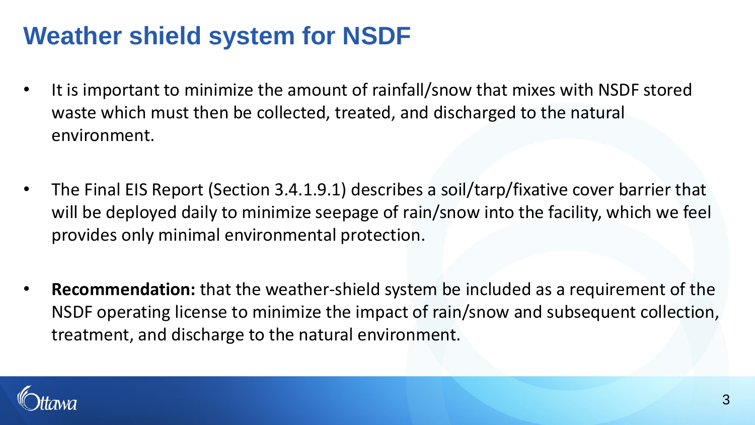# **Weather shield system for NSDF**

- It is important to minimize the amount of rainfall/snow that mixes with NSDF stored waste which must then be collected, treated, and discharged to the natural environment.
- The Final EIS Report (Section 3.4.1.9.1) describes a soil/tarp/fixative cover barrier that will be deployed daily to minimize seepage of rain/snow into the facility, which we feel provides only minimal environmental protection.
- **Recommendation:** that the weather-shield system be included as a requirement of the NSDF operating license to minimize the impact of rain/snow and subsequent collection, treatment, and discharge to the natural environment.

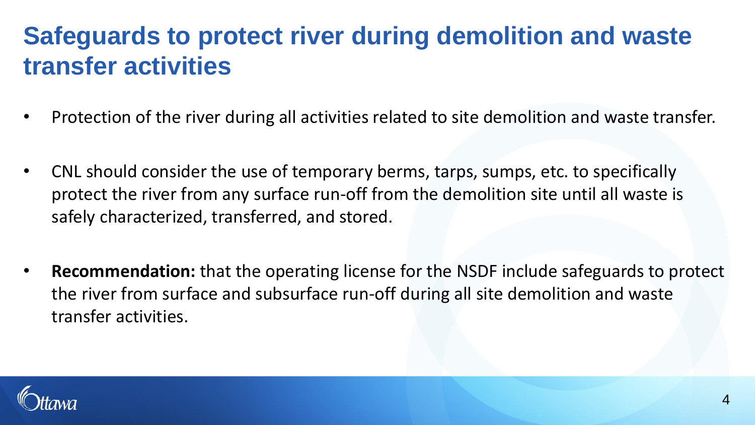# **Safeguards to protect river during demolition and waste transfer activities**

- Protection of the river during all activities related to site demolition and waste transfer.
- CNL should consider the use of temporary berms, tarps, sumps, etc. to specifically protect the river from any surface run-off from the demolition site until all waste is safely characterized, transferred, and stored.
- **Recommendation:** that the operating license for the NSDF include safeguards to protect the river from surface and subsurface run-off during all site demolition and waste transfer activities.

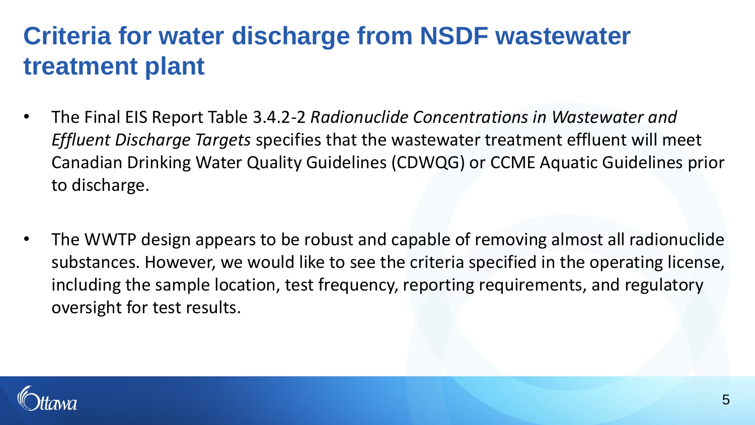# **Criteria for water discharge from NSDF wastewater treatment plant**

- The Final EIS Report Table 3.4.2-2 *Radionuclide Concentrations in Wastewater and Effluent Discharge Targets* specifies that the wastewater treatment effluent will meet Canadian Drinking Water Quality Guidelines (CDWQG) or CCME Aquatic Guidelines prior to discharge.
- The WWTP design appears to be robust and capable of removing almost all radionuclide substances. However, we would like to see the criteria specified in the operating license, including the sample location, test frequency, reporting requirements, and regulatory oversight for test results.

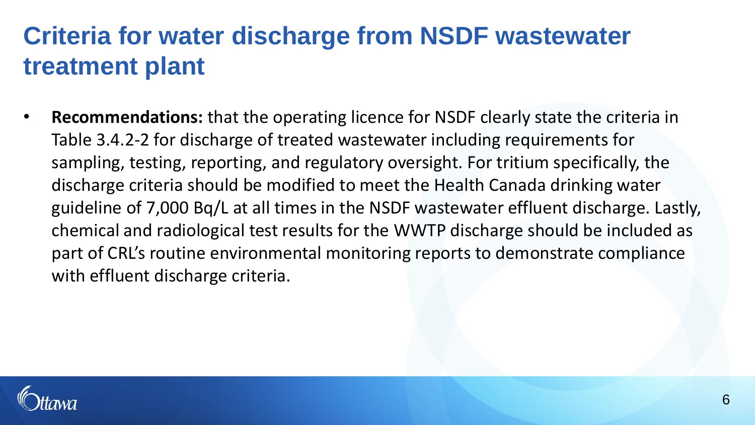# **Criteria for water discharge from NSDF wastewater treatment plant**

• **Recommendations:** that the operating licence for NSDF clearly state the criteria in Table 3.4.2-2 for discharge of treated wastewater including requirements for sampling, testing, reporting, and regulatory oversight. For tritium specifically, the discharge criteria should be modified to meet the Health Canada drinking water guideline of 7,000 Bq/L at all times in the NSDF wastewater effluent discharge. Lastly, chemical and radiological test results for the WWTP discharge should be included as part of CRL's routine environmental monitoring reports to demonstrate compliance with effluent discharge criteria.

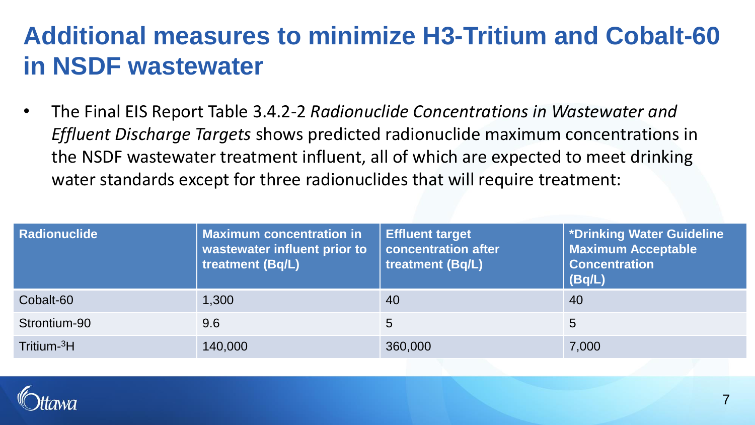# **Additional measures to minimize H3-Tritium and Cobalt-60 in NSDF wastewater**

• The Final EIS Report Table 3.4.2-2 *Radionuclide Concentrations in Wastewater and Effluent Discharge Targets* shows predicted radionuclide maximum concentrations in the NSDF wastewater treatment influent, all of which are expected to meet drinking water standards except for three radionuclides that will require treatment:

| <b>Radionuclide</b>     | <b>Maximum concentration in</b><br>wastewater influent prior to<br>treatment (Bq/L) | <b>Effluent target</b><br>concentration after<br>treatment (Bq/L) | *Drinking Water Guideline<br><b>Maximum Acceptable</b><br><b>Concentration</b><br>(Bq/L) |
|-------------------------|-------------------------------------------------------------------------------------|-------------------------------------------------------------------|------------------------------------------------------------------------------------------|
| Cobalt-60               | 1,300                                                                               | 40                                                                | 40                                                                                       |
| Strontium-90            | 9.6                                                                                 | 5                                                                 | 5                                                                                        |
| Tritium- <sup>3</sup> H | 140,000                                                                             | 360,000                                                           | 7,000                                                                                    |

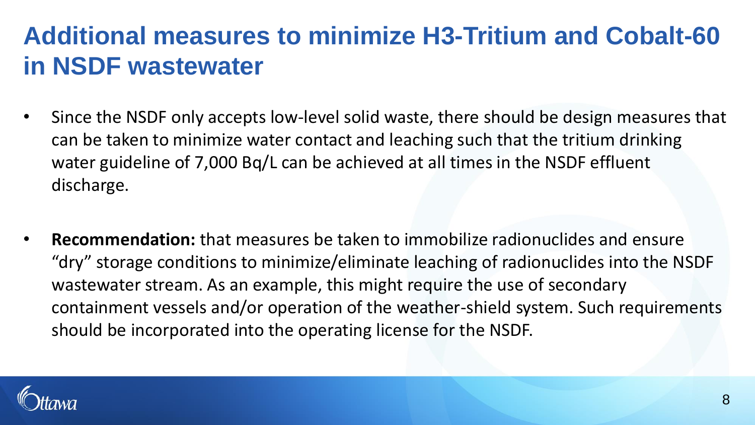# **Additional measures to minimize H3-Tritium and Cobalt-60 in NSDF wastewater**

- Since the NSDF only accepts low-level solid waste, there should be design measures that can be taken to minimize water contact and leaching such that the tritium drinking water guideline of 7,000 Bq/L can be achieved at all times in the NSDF effluent discharge.
- **Recommendation:** that measures be taken to immobilize radionuclides and ensure "dry" storage conditions to minimize/eliminate leaching of radionuclides into the NSDF wastewater stream. As an example, this might require the use of secondary containment vessels and/or operation of the weather-shield system. Such requirements should be incorporated into the operating license for the NSDF.

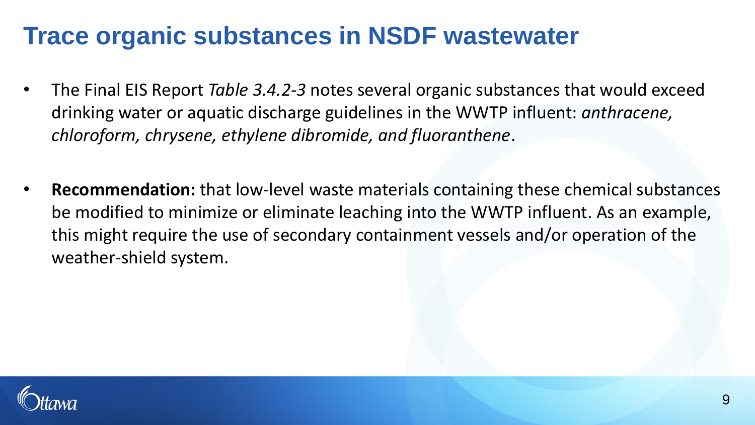### **Trace organic substances in NSDF wastewater**

- The Final EIS Report *Table 3.4.2-3* notes several organic substances that would exceed drinking water or aquatic discharge guidelines in the WWTP influent: *anthracene, chloroform, chrysene, ethylene dibromide, and fluoranthene*.
- **Recommendation:** that low-level waste materials containing these chemical substances be modified to minimize or eliminate leaching into the WWTP influent. As an example, this might require the use of secondary containment vessels and/or operation of the weather-shield system.

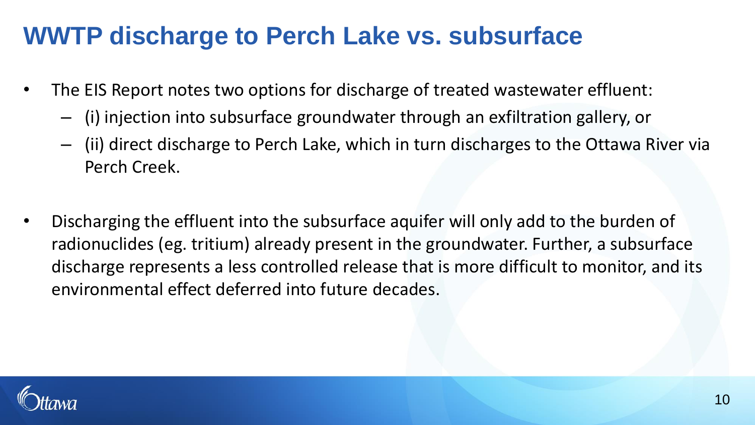### **WWTP discharge to Perch Lake vs. subsurface**

- The EIS Report notes two options for discharge of treated wastewater effluent:
	- (i) injection into subsurface groundwater through an exfiltration gallery, or
	- (ii) direct discharge to Perch Lake, which in turn discharges to the Ottawa River via Perch Creek.
- Discharging the effluent into the subsurface aquifer will only add to the burden of radionuclides (eg. tritium) already present in the groundwater. Further, a subsurface discharge represents a less controlled release that is more difficult to monitor, and its environmental effect deferred into future decades.

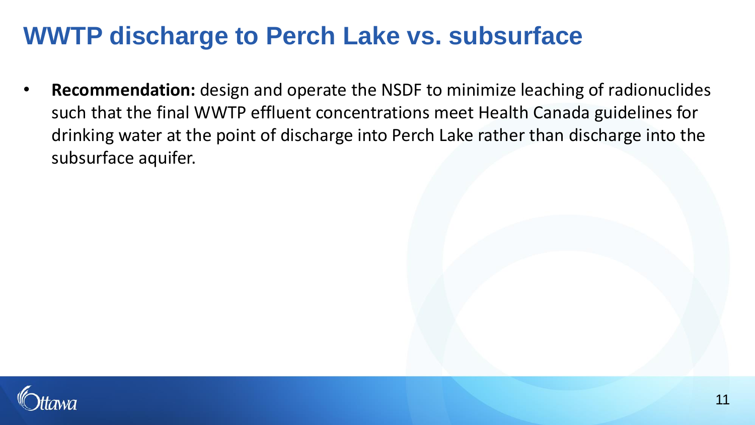### **WWTP discharge to Perch Lake vs. subsurface**

• **Recommendation:** design and operate the NSDF to minimize leaching of radionuclides such that the final WWTP effluent concentrations meet Health Canada guidelines for drinking water at the point of discharge into Perch Lake rather than discharge into the subsurface aquifer.

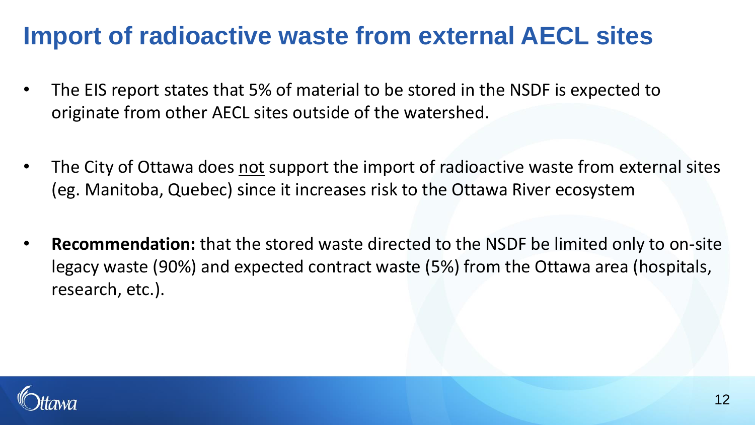### **Import of radioactive waste from external AECL sites**

- The EIS report states that 5% of material to be stored in the NSDF is expected to originate from other AECL sites outside of the watershed.
- The City of Ottawa does not support the import of radioactive waste from external sites (eg. Manitoba, Quebec) since it increases risk to the Ottawa River ecosystem
- **Recommendation:** that the stored waste directed to the NSDF be limited only to on-site legacy waste (90%) and expected contract waste (5%) from the Ottawa area (hospitals, research, etc.).

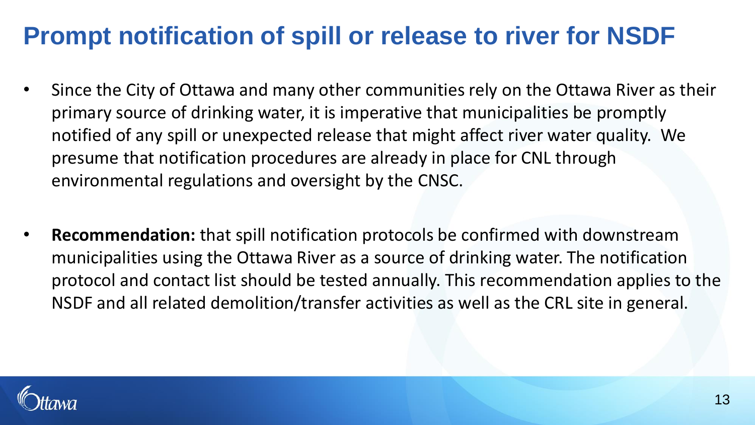### **Prompt notification of spill or release to river for NSDF**

- Since the City of Ottawa and many other communities rely on the Ottawa River as their primary source of drinking water, it is imperative that municipalities be promptly notified of any spill or unexpected release that might affect river water quality. We presume that notification procedures are already in place for CNL through environmental regulations and oversight by the CNSC.
- **Recommendation:** that spill notification protocols be confirmed with downstream municipalities using the Ottawa River as a source of drinking water. The notification protocol and contact list should be tested annually. This recommendation applies to the NSDF and all related demolition/transfer activities as well as the CRL site in general.

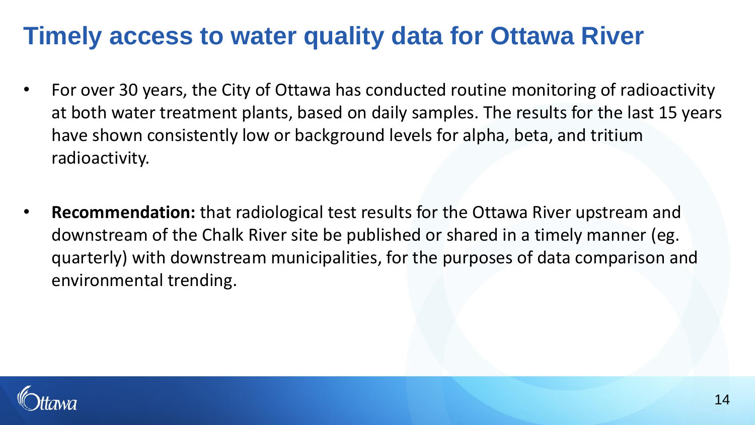### **Timely access to water quality data for Ottawa River**

- For over 30 years, the City of Ottawa has conducted routine monitoring of radioactivity at both water treatment plants, based on daily samples. The results for the last 15 years have shown consistently low or background levels for alpha, beta, and tritium radioactivity.
- **Recommendation:** that radiological test results for the Ottawa River upstream and downstream of the Chalk River site be published or shared in a timely manner (eg. quarterly) with downstream municipalities, for the purposes of data comparison and environmental trending.

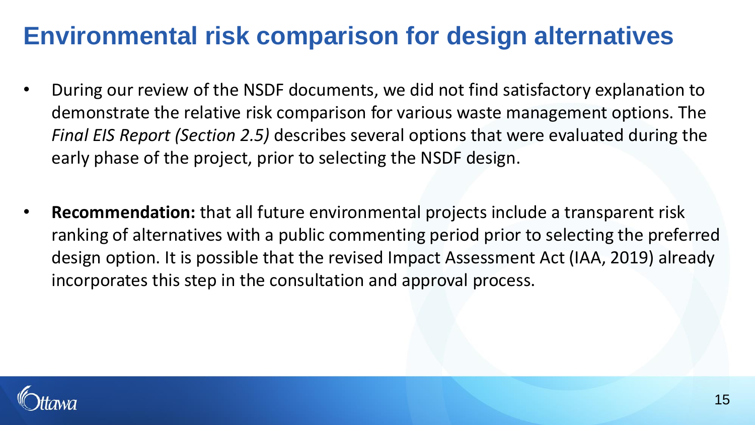### **Environmental risk comparison for design alternatives**

- During our review of the NSDF documents, we did not find satisfactory explanation to demonstrate the relative risk comparison for various waste management options. The *Final EIS Report (Section 2.5)* describes several options that were evaluated during the early phase of the project, prior to selecting the NSDF design.
- **Recommendation:** that all future environmental projects include a transparent risk ranking of alternatives with a public commenting period prior to selecting the preferred design option. It is possible that the revised Impact Assessment Act (IAA, 2019) already incorporates this step in the consultation and approval process.